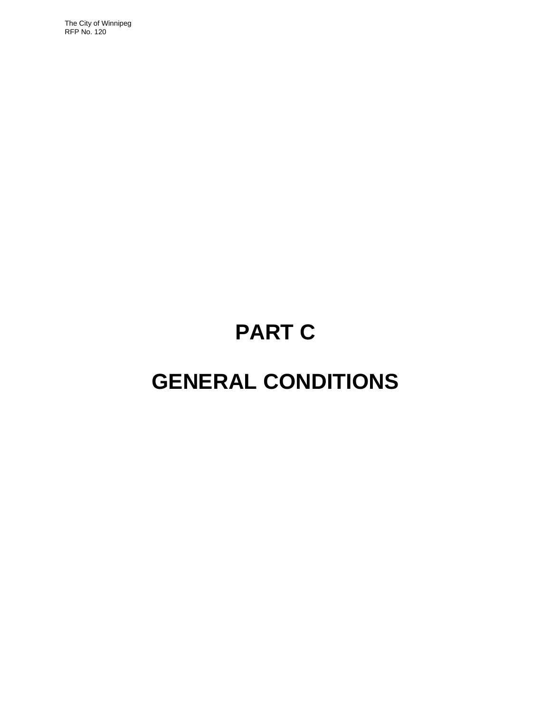The City of Winnipeg RFP No. 120

# **PART C**

## **GENERAL CONDITIONS**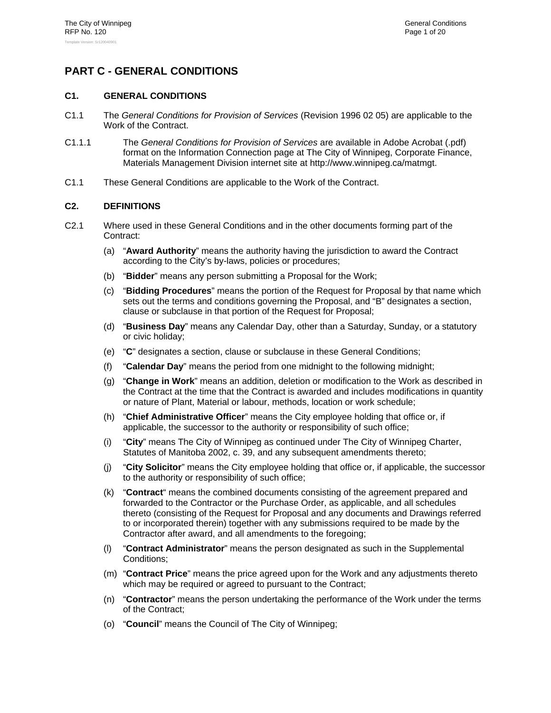## **PART C - GENERAL CONDITIONS**

## **C1. GENERAL CONDITIONS**

- C1.1 The *General Conditions for Provision of Services* (Revision 1996 02 05) are applicable to the Work of the Contract.
- C1.1.1 The *General Conditions for Provision of Services* are available in Adobe Acrobat (.pdf) format on the Information Connection page at The City of Winnipeg, Corporate Finance, Materials Management Division internet site at http://www.winnipeg.ca/matmgt.
- C1.1 These General Conditions are applicable to the Work of the Contract.

### **C2. DEFINITIONS**

- C2.1 Where used in these General Conditions and in the other documents forming part of the Contract:
	- (a) "**Award Authority**" means the authority having the jurisdiction to award the Contract according to the City's by-laws, policies or procedures;
	- (b) "**Bidder**" means any person submitting a Proposal for the Work;
	- (c) "**Bidding Procedures**" means the portion of the Request for Proposal by that name which sets out the terms and conditions governing the Proposal, and "B" designates a section, clause or subclause in that portion of the Request for Proposal;
	- (d) "**Business Day**" means any Calendar Day, other than a Saturday, Sunday, or a statutory or civic holiday;
	- (e) "**C**" designates a section, clause or subclause in these General Conditions;
	- (f) "**Calendar Day**" means the period from one midnight to the following midnight;
	- (g) "**Change in Work**" means an addition, deletion or modification to the Work as described in the Contract at the time that the Contract is awarded and includes modifications in quantity or nature of Plant, Material or labour, methods, location or work schedule;
	- (h) "**Chief Administrative Officer**" means the City employee holding that office or, if applicable, the successor to the authority or responsibility of such office;
	- (i) "**City**" means The City of Winnipeg as continued under The City of Winnipeg Charter, Statutes of Manitoba 2002, c. 39, and any subsequent amendments thereto;
	- (j) "**City Solicitor**" means the City employee holding that office or, if applicable, the successor to the authority or responsibility of such office;
	- (k) "**Contract**" means the combined documents consisting of the agreement prepared and forwarded to the Contractor or the Purchase Order, as applicable, and all schedules thereto (consisting of the Request for Proposal and any documents and Drawings referred to or incorporated therein) together with any submissions required to be made by the Contractor after award, and all amendments to the foregoing;
	- (l) "**Contract Administrator**" means the person designated as such in the Supplemental Conditions;
	- (m) "**Contract Price**" means the price agreed upon for the Work and any adjustments thereto which may be required or agreed to pursuant to the Contract;
	- (n) "**Contractor**" means the person undertaking the performance of the Work under the terms of the Contract;
	- (o) "**Council**" means the Council of The City of Winnipeg;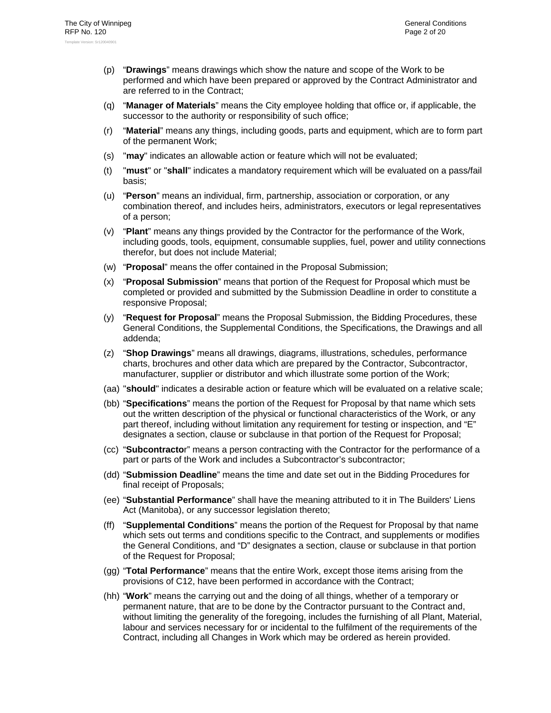- (p) "**Drawings**" means drawings which show the nature and scope of the Work to be performed and which have been prepared or approved by the Contract Administrator and are referred to in the Contract;
- (q) "**Manager of Materials**" means the City employee holding that office or, if applicable, the successor to the authority or responsibility of such office;
- (r) "**Material**" means any things, including goods, parts and equipment, which are to form part of the permanent Work;
- (s) "**may**" indicates an allowable action or feature which will not be evaluated;
- (t) "**must**" or "**shall**" indicates a mandatory requirement which will be evaluated on a pass/fail basis;
- (u) "**Person**" means an individual, firm, partnership, association or corporation, or any combination thereof, and includes heirs, administrators, executors or legal representatives of a person;
- (v) "**Plant**" means any things provided by the Contractor for the performance of the Work, including goods, tools, equipment, consumable supplies, fuel, power and utility connections therefor, but does not include Material;
- (w) "**Proposal**" means the offer contained in the Proposal Submission;
- (x) "**Proposal Submission**" means that portion of the Request for Proposal which must be completed or provided and submitted by the Submission Deadline in order to constitute a responsive Proposal;
- (y) "**Request for Proposal**" means the Proposal Submission, the Bidding Procedures, these General Conditions, the Supplemental Conditions, the Specifications, the Drawings and all addenda;
- (z) "**Shop Drawings**" means all drawings, diagrams, illustrations, schedules, performance charts, brochures and other data which are prepared by the Contractor, Subcontractor, manufacturer, supplier or distributor and which illustrate some portion of the Work;
- (aa) "**should**" indicates a desirable action or feature which will be evaluated on a relative scale;
- (bb) "**Specifications**" means the portion of the Request for Proposal by that name which sets out the written description of the physical or functional characteristics of the Work, or any part thereof, including without limitation any requirement for testing or inspection, and "E" designates a section, clause or subclause in that portion of the Request for Proposal;
- (cc) "**Subcontracto**r" means a person contracting with the Contractor for the performance of a part or parts of the Work and includes a Subcontractor's subcontractor;
- (dd) "**Submission Deadline**" means the time and date set out in the Bidding Procedures for final receipt of Proposals;
- (ee) "**Substantial Performance**" shall have the meaning attributed to it in The Builders' Liens Act (Manitoba), or any successor legislation thereto;
- (ff) "**Supplemental Conditions**" means the portion of the Request for Proposal by that name which sets out terms and conditions specific to the Contract, and supplements or modifies the General Conditions, and "D" designates a section, clause or subclause in that portion of the Request for Proposal;
- (gg) "**Total Performance**" means that the entire Work, except those items arising from the provisions of C12, have been performed in accordance with the Contract;
- (hh) "**Work**" means the carrying out and the doing of all things, whether of a temporary or permanent nature, that are to be done by the Contractor pursuant to the Contract and, without limiting the generality of the foregoing, includes the furnishing of all Plant, Material, labour and services necessary for or incidental to the fulfilment of the requirements of the Contract, including all Changes in Work which may be ordered as herein provided.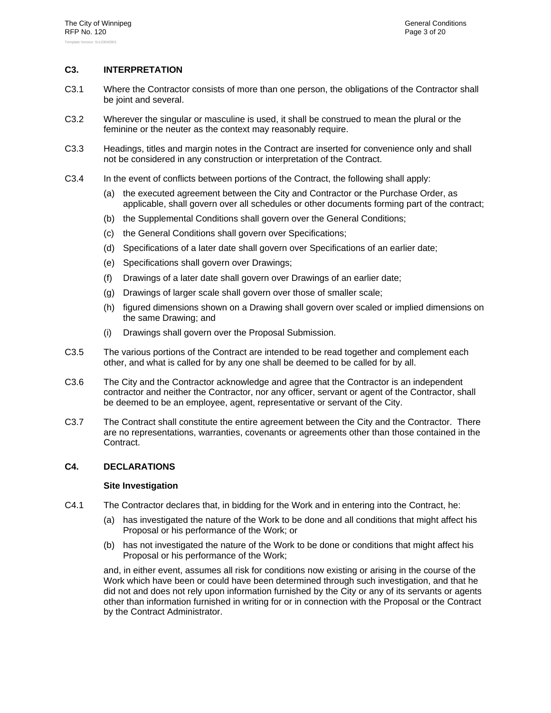## **C3. INTERPRETATION**

- C3.1 Where the Contractor consists of more than one person, the obligations of the Contractor shall be joint and several.
- C3.2 Wherever the singular or masculine is used, it shall be construed to mean the plural or the feminine or the neuter as the context may reasonably require.
- C3.3 Headings, titles and margin notes in the Contract are inserted for convenience only and shall not be considered in any construction or interpretation of the Contract.
- C3.4 In the event of conflicts between portions of the Contract, the following shall apply:
	- (a) the executed agreement between the City and Contractor or the Purchase Order, as applicable, shall govern over all schedules or other documents forming part of the contract;
	- (b) the Supplemental Conditions shall govern over the General Conditions;
	- (c) the General Conditions shall govern over Specifications;
	- (d) Specifications of a later date shall govern over Specifications of an earlier date;
	- (e) Specifications shall govern over Drawings;
	- (f) Drawings of a later date shall govern over Drawings of an earlier date;
	- (g) Drawings of larger scale shall govern over those of smaller scale;
	- (h) figured dimensions shown on a Drawing shall govern over scaled or implied dimensions on the same Drawing; and
	- (i) Drawings shall govern over the Proposal Submission.
- C3.5 The various portions of the Contract are intended to be read together and complement each other, and what is called for by any one shall be deemed to be called for by all.
- C3.6 The City and the Contractor acknowledge and agree that the Contractor is an independent contractor and neither the Contractor, nor any officer, servant or agent of the Contractor, shall be deemed to be an employee, agent, representative or servant of the City.
- C3.7 The Contract shall constitute the entire agreement between the City and the Contractor. There are no representations, warranties, covenants or agreements other than those contained in the Contract.

#### **C4. DECLARATIONS**

#### **Site Investigation**

- C4.1 The Contractor declares that, in bidding for the Work and in entering into the Contract, he:
	- (a) has investigated the nature of the Work to be done and all conditions that might affect his Proposal or his performance of the Work; or
	- (b) has not investigated the nature of the Work to be done or conditions that might affect his Proposal or his performance of the Work;

and, in either event, assumes all risk for conditions now existing or arising in the course of the Work which have been or could have been determined through such investigation, and that he did not and does not rely upon information furnished by the City or any of its servants or agents other than information furnished in writing for or in connection with the Proposal or the Contract by the Contract Administrator.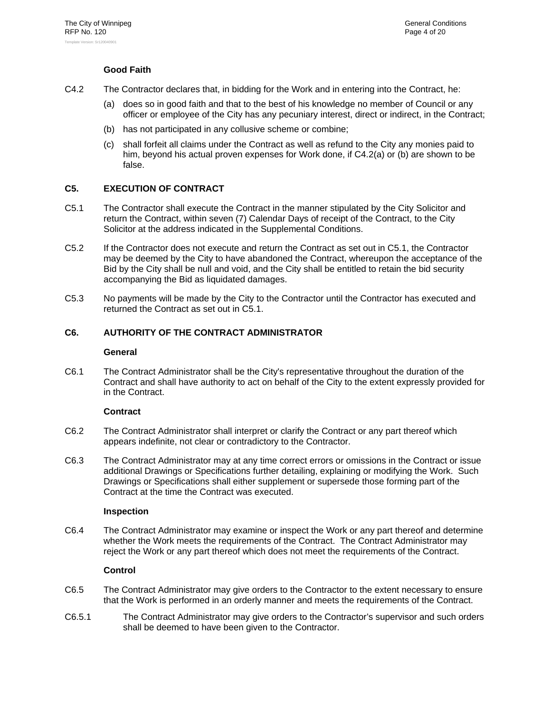## **Good Faith**

- C4.2 The Contractor declares that, in bidding for the Work and in entering into the Contract, he:
	- (a) does so in good faith and that to the best of his knowledge no member of Council or any officer or employee of the City has any pecuniary interest, direct or indirect, in the Contract;
	- (b) has not participated in any collusive scheme or combine;
	- (c) shall forfeit all claims under the Contract as well as refund to the City any monies paid to him, beyond his actual proven expenses for Work done, if C4.2(a) or (b) are shown to be false.

## **C5. EXECUTION OF CONTRACT**

- C5.1 The Contractor shall execute the Contract in the manner stipulated by the City Solicitor and return the Contract, within seven (7) Calendar Days of receipt of the Contract, to the City Solicitor at the address indicated in the Supplemental Conditions.
- C5.2 If the Contractor does not execute and return the Contract as set out in C5.1, the Contractor may be deemed by the City to have abandoned the Contract, whereupon the acceptance of the Bid by the City shall be null and void, and the City shall be entitled to retain the bid security accompanying the Bid as liquidated damages.
- C5.3 No payments will be made by the City to the Contractor until the Contractor has executed and returned the Contract as set out in C5.1.

## **C6. AUTHORITY OF THE CONTRACT ADMINISTRATOR**

#### **General**

C6.1 The Contract Administrator shall be the City's representative throughout the duration of the Contract and shall have authority to act on behalf of the City to the extent expressly provided for in the Contract.

## **Contract**

- C6.2 The Contract Administrator shall interpret or clarify the Contract or any part thereof which appears indefinite, not clear or contradictory to the Contractor.
- C6.3 The Contract Administrator may at any time correct errors or omissions in the Contract or issue additional Drawings or Specifications further detailing, explaining or modifying the Work. Such Drawings or Specifications shall either supplement or supersede those forming part of the Contract at the time the Contract was executed.

#### **Inspection**

C6.4 The Contract Administrator may examine or inspect the Work or any part thereof and determine whether the Work meets the requirements of the Contract. The Contract Administrator may reject the Work or any part thereof which does not meet the requirements of the Contract.

## **Control**

- C6.5 The Contract Administrator may give orders to the Contractor to the extent necessary to ensure that the Work is performed in an orderly manner and meets the requirements of the Contract.
- C6.5.1 The Contract Administrator may give orders to the Contractor's supervisor and such orders shall be deemed to have been given to the Contractor.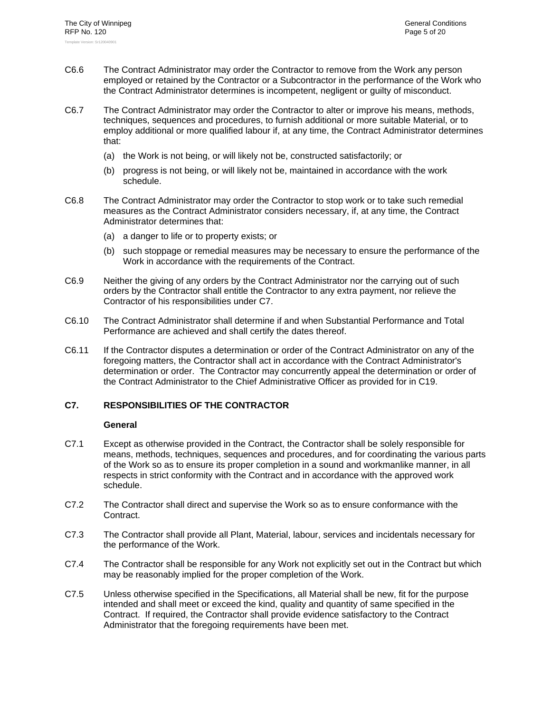- C6.6 The Contract Administrator may order the Contractor to remove from the Work any person employed or retained by the Contractor or a Subcontractor in the performance of the Work who the Contract Administrator determines is incompetent, negligent or guilty of misconduct.
- C6.7 The Contract Administrator may order the Contractor to alter or improve his means, methods, techniques, sequences and procedures, to furnish additional or more suitable Material, or to employ additional or more qualified labour if, at any time, the Contract Administrator determines that:
	- (a) the Work is not being, or will likely not be, constructed satisfactorily; or
	- (b) progress is not being, or will likely not be, maintained in accordance with the work schedule.
- C6.8 The Contract Administrator may order the Contractor to stop work or to take such remedial measures as the Contract Administrator considers necessary, if, at any time, the Contract Administrator determines that:
	- (a) a danger to life or to property exists; or
	- (b) such stoppage or remedial measures may be necessary to ensure the performance of the Work in accordance with the requirements of the Contract.
- C6.9 Neither the giving of any orders by the Contract Administrator nor the carrying out of such orders by the Contractor shall entitle the Contractor to any extra payment, nor relieve the Contractor of his responsibilities under C7.
- C6.10 The Contract Administrator shall determine if and when Substantial Performance and Total Performance are achieved and shall certify the dates thereof.
- C6.11 If the Contractor disputes a determination or order of the Contract Administrator on any of the foregoing matters, the Contractor shall act in accordance with the Contract Administrator's determination or order. The Contractor may concurrently appeal the determination or order of the Contract Administrator to the Chief Administrative Officer as provided for in C19.

### **C7. RESPONSIBILITIES OF THE CONTRACTOR**

- C7.1 Except as otherwise provided in the Contract, the Contractor shall be solely responsible for means, methods, techniques, sequences and procedures, and for coordinating the various parts of the Work so as to ensure its proper completion in a sound and workmanlike manner, in all respects in strict conformity with the Contract and in accordance with the approved work schedule.
- C7.2 The Contractor shall direct and supervise the Work so as to ensure conformance with the Contract.
- C7.3 The Contractor shall provide all Plant, Material, labour, services and incidentals necessary for the performance of the Work.
- C7.4 The Contractor shall be responsible for any Work not explicitly set out in the Contract but which may be reasonably implied for the proper completion of the Work.
- C7.5 Unless otherwise specified in the Specifications, all Material shall be new, fit for the purpose intended and shall meet or exceed the kind, quality and quantity of same specified in the Contract. If required, the Contractor shall provide evidence satisfactory to the Contract Administrator that the foregoing requirements have been met.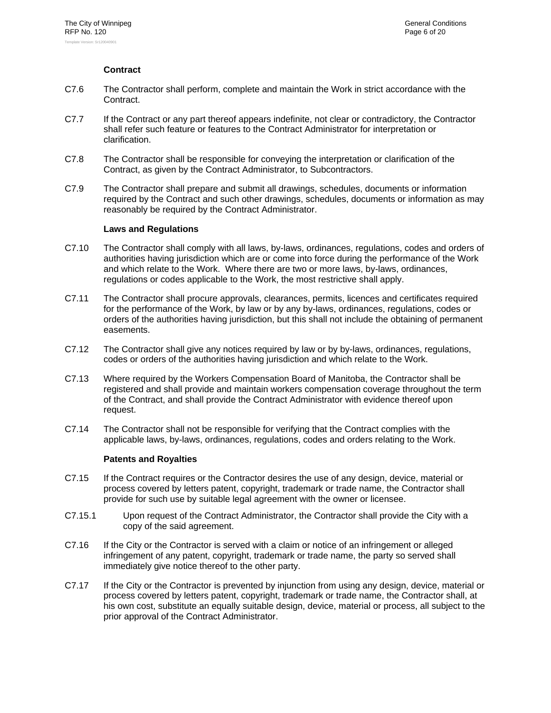## **Contract**

- C7.6 The Contractor shall perform, complete and maintain the Work in strict accordance with the Contract.
- C7.7 If the Contract or any part thereof appears indefinite, not clear or contradictory, the Contractor shall refer such feature or features to the Contract Administrator for interpretation or clarification.
- C7.8 The Contractor shall be responsible for conveying the interpretation or clarification of the Contract, as given by the Contract Administrator, to Subcontractors.
- C7.9 The Contractor shall prepare and submit all drawings, schedules, documents or information required by the Contract and such other drawings, schedules, documents or information as may reasonably be required by the Contract Administrator.

### **Laws and Regulations**

- C7.10 The Contractor shall comply with all laws, by-laws, ordinances, regulations, codes and orders of authorities having jurisdiction which are or come into force during the performance of the Work and which relate to the Work. Where there are two or more laws, by-laws, ordinances, regulations or codes applicable to the Work, the most restrictive shall apply.
- C7.11 The Contractor shall procure approvals, clearances, permits, licences and certificates required for the performance of the Work, by law or by any by-laws, ordinances, regulations, codes or orders of the authorities having jurisdiction, but this shall not include the obtaining of permanent easements.
- C7.12 The Contractor shall give any notices required by law or by by-laws, ordinances, regulations, codes or orders of the authorities having jurisdiction and which relate to the Work.
- C7.13 Where required by the Workers Compensation Board of Manitoba, the Contractor shall be registered and shall provide and maintain workers compensation coverage throughout the term of the Contract, and shall provide the Contract Administrator with evidence thereof upon request.
- C7.14 The Contractor shall not be responsible for verifying that the Contract complies with the applicable laws, by-laws, ordinances, regulations, codes and orders relating to the Work.

#### **Patents and Royalties**

- C7.15 If the Contract requires or the Contractor desires the use of any design, device, material or process covered by letters patent, copyright, trademark or trade name, the Contractor shall provide for such use by suitable legal agreement with the owner or licensee.
- C7.15.1 Upon request of the Contract Administrator, the Contractor shall provide the City with a copy of the said agreement.
- C7.16 If the City or the Contractor is served with a claim or notice of an infringement or alleged infringement of any patent, copyright, trademark or trade name, the party so served shall immediately give notice thereof to the other party.
- C7.17 If the City or the Contractor is prevented by injunction from using any design, device, material or process covered by letters patent, copyright, trademark or trade name, the Contractor shall, at his own cost, substitute an equally suitable design, device, material or process, all subject to the prior approval of the Contract Administrator.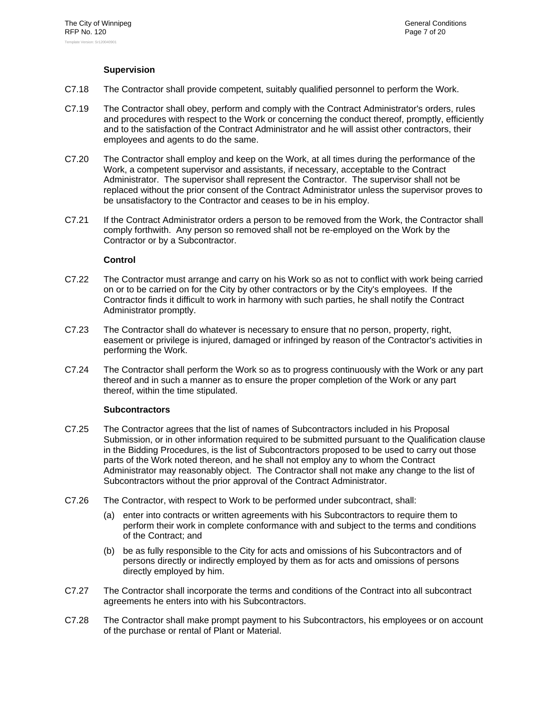## **Supervision**

- C7.18 The Contractor shall provide competent, suitably qualified personnel to perform the Work.
- C7.19 The Contractor shall obey, perform and comply with the Contract Administrator's orders, rules and procedures with respect to the Work or concerning the conduct thereof, promptly, efficiently and to the satisfaction of the Contract Administrator and he will assist other contractors, their employees and agents to do the same.
- C7.20 The Contractor shall employ and keep on the Work, at all times during the performance of the Work, a competent supervisor and assistants, if necessary, acceptable to the Contract Administrator. The supervisor shall represent the Contractor. The supervisor shall not be replaced without the prior consent of the Contract Administrator unless the supervisor proves to be unsatisfactory to the Contractor and ceases to be in his employ.
- C7.21 If the Contract Administrator orders a person to be removed from the Work, the Contractor shall comply forthwith. Any person so removed shall not be re-employed on the Work by the Contractor or by a Subcontractor.

## **Control**

- C7.22 The Contractor must arrange and carry on his Work so as not to conflict with work being carried on or to be carried on for the City by other contractors or by the City's employees. If the Contractor finds it difficult to work in harmony with such parties, he shall notify the Contract Administrator promptly.
- C7.23 The Contractor shall do whatever is necessary to ensure that no person, property, right, easement or privilege is injured, damaged or infringed by reason of the Contractor's activities in performing the Work.
- C7.24 The Contractor shall perform the Work so as to progress continuously with the Work or any part thereof and in such a manner as to ensure the proper completion of the Work or any part thereof, within the time stipulated.

## **Subcontractors**

- C7.25 The Contractor agrees that the list of names of Subcontractors included in his Proposal Submission, or in other information required to be submitted pursuant to the Qualification clause in the Bidding Procedures, is the list of Subcontractors proposed to be used to carry out those parts of the Work noted thereon, and he shall not employ any to whom the Contract Administrator may reasonably object. The Contractor shall not make any change to the list of Subcontractors without the prior approval of the Contract Administrator.
- C7.26 The Contractor, with respect to Work to be performed under subcontract, shall:
	- (a) enter into contracts or written agreements with his Subcontractors to require them to perform their work in complete conformance with and subject to the terms and conditions of the Contract; and
	- (b) be as fully responsible to the City for acts and omissions of his Subcontractors and of persons directly or indirectly employed by them as for acts and omissions of persons directly employed by him.
- C7.27 The Contractor shall incorporate the terms and conditions of the Contract into all subcontract agreements he enters into with his Subcontractors.
- C7.28 The Contractor shall make prompt payment to his Subcontractors, his employees or on account of the purchase or rental of Plant or Material.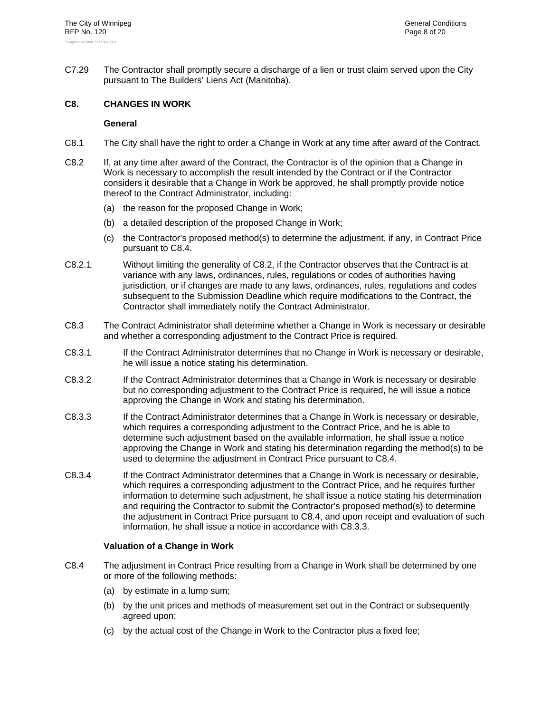C7.29 The Contractor shall promptly secure a discharge of a lien or trust claim served upon the City pursuant to The Builders' Liens Act (Manitoba).

### **C8. CHANGES IN WORK**

#### **General**

- C8.1 The City shall have the right to order a Change in Work at any time after award of the Contract.
- C8.2 If, at any time after award of the Contract, the Contractor is of the opinion that a Change in Work is necessary to accomplish the result intended by the Contract or if the Contractor considers it desirable that a Change in Work be approved, he shall promptly provide notice thereof to the Contract Administrator, including:
	- (a) the reason for the proposed Change in Work;
	- (b) a detailed description of the proposed Change in Work;
	- (c) the Contractor's proposed method(s) to determine the adjustment, if any, in Contract Price pursuant to C8.4.
- C8.2.1 Without limiting the generality of C8.2, if the Contractor observes that the Contract is at variance with any laws, ordinances, rules, regulations or codes of authorities having jurisdiction, or if changes are made to any laws, ordinances, rules, regulations and codes subsequent to the Submission Deadline which require modifications to the Contract, the Contractor shall immediately notify the Contract Administrator.
- C8.3 The Contract Administrator shall determine whether a Change in Work is necessary or desirable and whether a corresponding adjustment to the Contract Price is required.
- C8.3.1 If the Contract Administrator determines that no Change in Work is necessary or desirable, he will issue a notice stating his determination.
- C8.3.2 If the Contract Administrator determines that a Change in Work is necessary or desirable but no corresponding adjustment to the Contract Price is required, he will issue a notice approving the Change in Work and stating his determination.
- C8.3.3 If the Contract Administrator determines that a Change in Work is necessary or desirable, which requires a corresponding adjustment to the Contract Price, and he is able to determine such adjustment based on the available information, he shall issue a notice approving the Change in Work and stating his determination regarding the method(s) to be used to determine the adjustment in Contract Price pursuant to C8.4.
- C8.3.4 If the Contract Administrator determines that a Change in Work is necessary or desirable, which requires a corresponding adjustment to the Contract Price, and he requires further information to determine such adjustment, he shall issue a notice stating his determination and requiring the Contractor to submit the Contractor's proposed method(s) to determine the adjustment in Contract Price pursuant to C8.4, and upon receipt and evaluation of such information, he shall issue a notice in accordance with C8.3.3.

## **Valuation of a Change in Work**

- C8.4 The adjustment in Contract Price resulting from a Change in Work shall be determined by one or more of the following methods:
	- (a) by estimate in a lump sum;
	- (b) by the unit prices and methods of measurement set out in the Contract or subsequently agreed upon;
	- (c) by the actual cost of the Change in Work to the Contractor plus a fixed fee;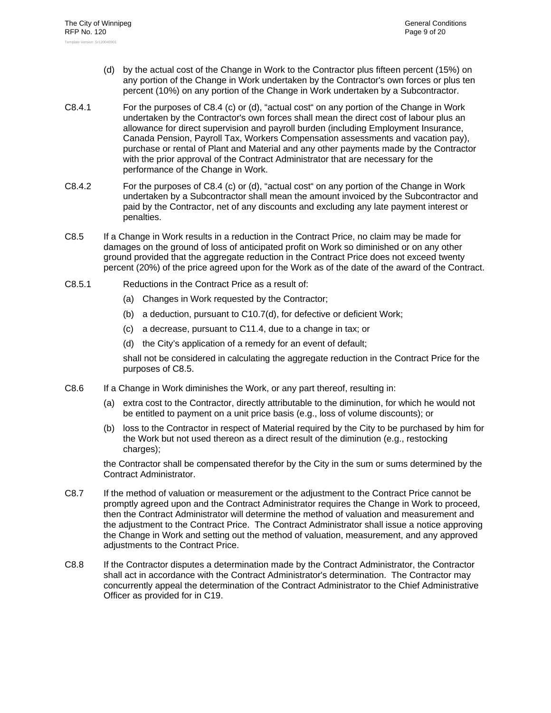- (d) by the actual cost of the Change in Work to the Contractor plus fifteen percent (15%) on any portion of the Change in Work undertaken by the Contractor's own forces or plus ten percent (10%) on any portion of the Change in Work undertaken by a Subcontractor.
- C8.4.1 For the purposes of C8.4 (c) or (d), "actual cost" on any portion of the Change in Work undertaken by the Contractor's own forces shall mean the direct cost of labour plus an allowance for direct supervision and payroll burden (including Employment Insurance, Canada Pension, Payroll Tax, Workers Compensation assessments and vacation pay), purchase or rental of Plant and Material and any other payments made by the Contractor with the prior approval of the Contract Administrator that are necessary for the performance of the Change in Work.
- C8.4.2 For the purposes of C8.4 (c) or (d), "actual cost" on any portion of the Change in Work undertaken by a Subcontractor shall mean the amount invoiced by the Subcontractor and paid by the Contractor, net of any discounts and excluding any late payment interest or penalties.
- C8.5 If a Change in Work results in a reduction in the Contract Price, no claim may be made for damages on the ground of loss of anticipated profit on Work so diminished or on any other ground provided that the aggregate reduction in the Contract Price does not exceed twenty percent (20%) of the price agreed upon for the Work as of the date of the award of the Contract.
- C8.5.1 Reductions in the Contract Price as a result of:
	- (a) Changes in Work requested by the Contractor;
	- (b) a deduction, pursuant to C10.7(d), for defective or deficient Work;
	- (c) a decrease, pursuant to C11.4, due to a change in tax; or
	- (d) the City's application of a remedy for an event of default;

shall not be considered in calculating the aggregate reduction in the Contract Price for the purposes of C8.5.

- C8.6 If a Change in Work diminishes the Work, or any part thereof, resulting in:
	- (a) extra cost to the Contractor, directly attributable to the diminution, for which he would not be entitled to payment on a unit price basis (e.g., loss of volume discounts); or
	- (b) loss to the Contractor in respect of Material required by the City to be purchased by him for the Work but not used thereon as a direct result of the diminution (e.g., restocking charges);

the Contractor shall be compensated therefor by the City in the sum or sums determined by the Contract Administrator.

- C8.7 If the method of valuation or measurement or the adjustment to the Contract Price cannot be promptly agreed upon and the Contract Administrator requires the Change in Work to proceed, then the Contract Administrator will determine the method of valuation and measurement and the adjustment to the Contract Price. The Contract Administrator shall issue a notice approving the Change in Work and setting out the method of valuation, measurement, and any approved adjustments to the Contract Price.
- C8.8 If the Contractor disputes a determination made by the Contract Administrator, the Contractor shall act in accordance with the Contract Administrator's determination. The Contractor may concurrently appeal the determination of the Contract Administrator to the Chief Administrative Officer as provided for in C19.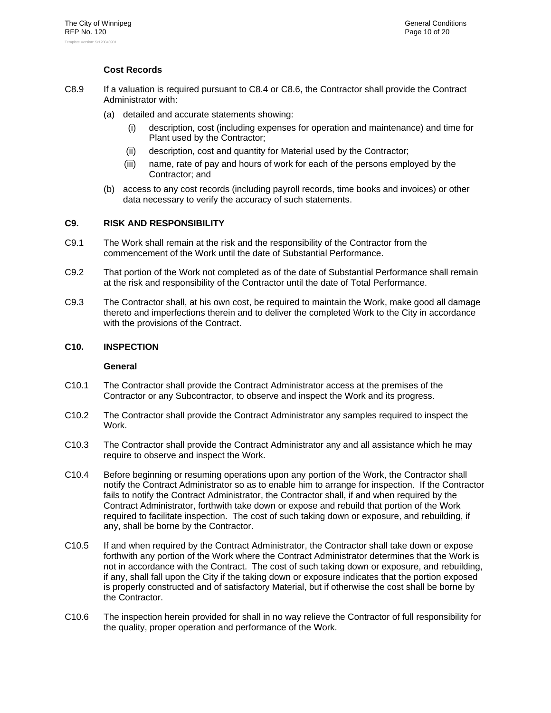## **Cost Records**

- C8.9 If a valuation is required pursuant to C8.4 or C8.6, the Contractor shall provide the Contract Administrator with:
	- (a) detailed and accurate statements showing:
		- description, cost (including expenses for operation and maintenance) and time for Plant used by the Contractor;
		- (ii) description, cost and quantity for Material used by the Contractor;
		- (iii) name, rate of pay and hours of work for each of the persons employed by the Contractor; and
	- (b) access to any cost records (including payroll records, time books and invoices) or other data necessary to verify the accuracy of such statements.

#### **C9. RISK AND RESPONSIBILITY**

- C9.1 The Work shall remain at the risk and the responsibility of the Contractor from the commencement of the Work until the date of Substantial Performance.
- C9.2 That portion of the Work not completed as of the date of Substantial Performance shall remain at the risk and responsibility of the Contractor until the date of Total Performance.
- C9.3 The Contractor shall, at his own cost, be required to maintain the Work, make good all damage thereto and imperfections therein and to deliver the completed Work to the City in accordance with the provisions of the Contract.

### **C10. INSPECTION**

- C10.1 The Contractor shall provide the Contract Administrator access at the premises of the Contractor or any Subcontractor, to observe and inspect the Work and its progress.
- C10.2 The Contractor shall provide the Contract Administrator any samples required to inspect the Work.
- C10.3 The Contractor shall provide the Contract Administrator any and all assistance which he may require to observe and inspect the Work.
- C10.4 Before beginning or resuming operations upon any portion of the Work, the Contractor shall notify the Contract Administrator so as to enable him to arrange for inspection. If the Contractor fails to notify the Contract Administrator, the Contractor shall, if and when required by the Contract Administrator, forthwith take down or expose and rebuild that portion of the Work required to facilitate inspection. The cost of such taking down or exposure, and rebuilding, if any, shall be borne by the Contractor.
- C10.5 If and when required by the Contract Administrator, the Contractor shall take down or expose forthwith any portion of the Work where the Contract Administrator determines that the Work is not in accordance with the Contract. The cost of such taking down or exposure, and rebuilding, if any, shall fall upon the City if the taking down or exposure indicates that the portion exposed is properly constructed and of satisfactory Material, but if otherwise the cost shall be borne by the Contractor.
- C10.6 The inspection herein provided for shall in no way relieve the Contractor of full responsibility for the quality, proper operation and performance of the Work.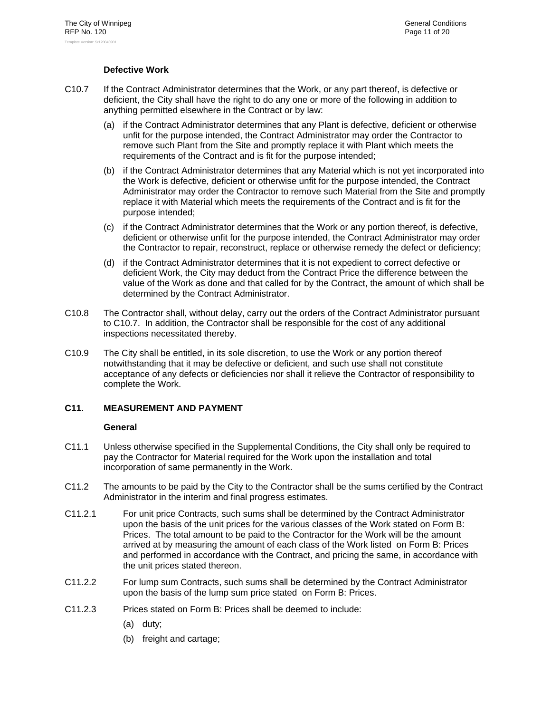## **Defective Work**

- C10.7 If the Contract Administrator determines that the Work, or any part thereof, is defective or deficient, the City shall have the right to do any one or more of the following in addition to anything permitted elsewhere in the Contract or by law:
	- (a) if the Contract Administrator determines that any Plant is defective, deficient or otherwise unfit for the purpose intended, the Contract Administrator may order the Contractor to remove such Plant from the Site and promptly replace it with Plant which meets the requirements of the Contract and is fit for the purpose intended;
	- (b) if the Contract Administrator determines that any Material which is not yet incorporated into the Work is defective, deficient or otherwise unfit for the purpose intended, the Contract Administrator may order the Contractor to remove such Material from the Site and promptly replace it with Material which meets the requirements of the Contract and is fit for the purpose intended;
	- (c) if the Contract Administrator determines that the Work or any portion thereof, is defective, deficient or otherwise unfit for the purpose intended, the Contract Administrator may order the Contractor to repair, reconstruct, replace or otherwise remedy the defect or deficiency;
	- (d) if the Contract Administrator determines that it is not expedient to correct defective or deficient Work, the City may deduct from the Contract Price the difference between the value of the Work as done and that called for by the Contract, the amount of which shall be determined by the Contract Administrator.
- C10.8 The Contractor shall, without delay, carry out the orders of the Contract Administrator pursuant to C10.7. In addition, the Contractor shall be responsible for the cost of any additional inspections necessitated thereby.
- C10.9 The City shall be entitled, in its sole discretion, to use the Work or any portion thereof notwithstanding that it may be defective or deficient, and such use shall not constitute acceptance of any defects or deficiencies nor shall it relieve the Contractor of responsibility to complete the Work.

## **C11. MEASUREMENT AND PAYMENT**

- C11.1 Unless otherwise specified in the Supplemental Conditions, the City shall only be required to pay the Contractor for Material required for the Work upon the installation and total incorporation of same permanently in the Work.
- C11.2 The amounts to be paid by the City to the Contractor shall be the sums certified by the Contract Administrator in the interim and final progress estimates.
- C11.2.1 For unit price Contracts, such sums shall be determined by the Contract Administrator upon the basis of the unit prices for the various classes of the Work stated on Form B: Prices. The total amount to be paid to the Contractor for the Work will be the amount arrived at by measuring the amount of each class of the Work listed on Form B: Prices and performed in accordance with the Contract, and pricing the same, in accordance with the unit prices stated thereon.
- C11.2.2 For lump sum Contracts, such sums shall be determined by the Contract Administrator upon the basis of the lump sum price stated on Form B: Prices.
- C11.2.3 Prices stated on Form B: Prices shall be deemed to include:
	- (a) duty;
	- (b) freight and cartage;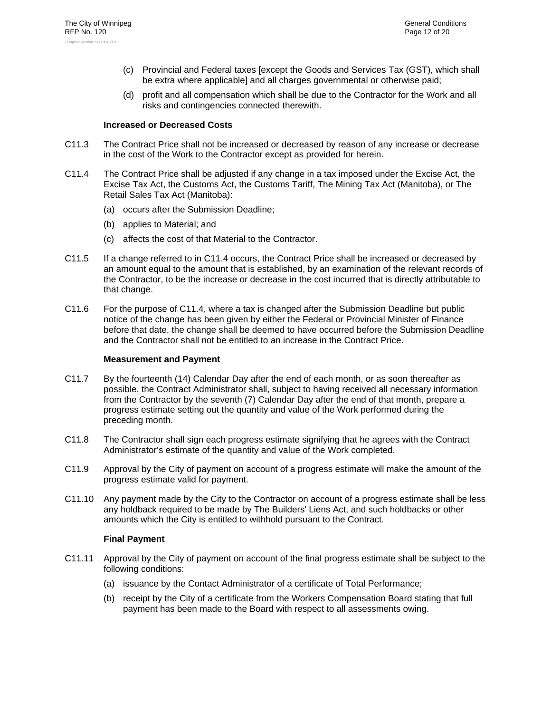- (c) Provincial and Federal taxes [except the Goods and Services Tax (GST), which shall be extra where applicable] and all charges governmental or otherwise paid;
- (d) profit and all compensation which shall be due to the Contractor for the Work and all risks and contingencies connected therewith.

#### **Increased or Decreased Costs**

- C11.3 The Contract Price shall not be increased or decreased by reason of any increase or decrease in the cost of the Work to the Contractor except as provided for herein.
- C11.4 The Contract Price shall be adjusted if any change in a tax imposed under the Excise Act, the Excise Tax Act, the Customs Act, the Customs Tariff, The Mining Tax Act (Manitoba), or The Retail Sales Tax Act (Manitoba):
	- (a) occurs after the Submission Deadline;
	- (b) applies to Material; and
	- (c) affects the cost of that Material to the Contractor.
- C11.5 If a change referred to in C11.4 occurs, the Contract Price shall be increased or decreased by an amount equal to the amount that is established, by an examination of the relevant records of the Contractor, to be the increase or decrease in the cost incurred that is directly attributable to that change.
- C11.6 For the purpose of C11.4, where a tax is changed after the Submission Deadline but public notice of the change has been given by either the Federal or Provincial Minister of Finance before that date, the change shall be deemed to have occurred before the Submission Deadline and the Contractor shall not be entitled to an increase in the Contract Price.

#### **Measurement and Payment**

- C11.7 By the fourteenth (14) Calendar Day after the end of each month, or as soon thereafter as possible, the Contract Administrator shall, subject to having received all necessary information from the Contractor by the seventh (7) Calendar Day after the end of that month, prepare a progress estimate setting out the quantity and value of the Work performed during the preceding month.
- C11.8 The Contractor shall sign each progress estimate signifying that he agrees with the Contract Administrator's estimate of the quantity and value of the Work completed.
- C11.9 Approval by the City of payment on account of a progress estimate will make the amount of the progress estimate valid for payment.
- C11.10 Any payment made by the City to the Contractor on account of a progress estimate shall be less any holdback required to be made by The Builders' Liens Act, and such holdbacks or other amounts which the City is entitled to withhold pursuant to the Contract.

#### **Final Payment**

- C11.11 Approval by the City of payment on account of the final progress estimate shall be subject to the following conditions:
	- (a) issuance by the Contact Administrator of a certificate of Total Performance;
	- (b) receipt by the City of a certificate from the Workers Compensation Board stating that full payment has been made to the Board with respect to all assessments owing.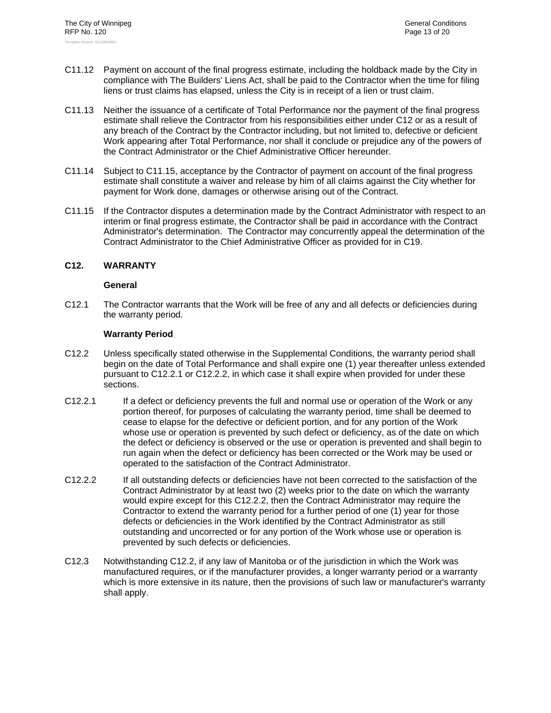- C11.12 Payment on account of the final progress estimate, including the holdback made by the City in compliance with The Builders' Liens Act, shall be paid to the Contractor when the time for filing liens or trust claims has elapsed, unless the City is in receipt of a lien or trust claim.
- C11.13 Neither the issuance of a certificate of Total Performance nor the payment of the final progress estimate shall relieve the Contractor from his responsibilities either under C12 or as a result of any breach of the Contract by the Contractor including, but not limited to, defective or deficient Work appearing after Total Performance, nor shall it conclude or prejudice any of the powers of the Contract Administrator or the Chief Administrative Officer hereunder.
- C11.14 Subject to C11.15, acceptance by the Contractor of payment on account of the final progress estimate shall constitute a waiver and release by him of all claims against the City whether for payment for Work done, damages or otherwise arising out of the Contract.
- C11.15 If the Contractor disputes a determination made by the Contract Administrator with respect to an interim or final progress estimate, the Contractor shall be paid in accordance with the Contract Administrator's determination. The Contractor may concurrently appeal the determination of the Contract Administrator to the Chief Administrative Officer as provided for in C19.

### **C12. WARRANTY**

#### **General**

C12.1 The Contractor warrants that the Work will be free of any and all defects or deficiencies during the warranty period.

### **Warranty Period**

- C12.2 Unless specifically stated otherwise in the Supplemental Conditions, the warranty period shall begin on the date of Total Performance and shall expire one (1) year thereafter unless extended pursuant to C12.2.1 or C12.2.2, in which case it shall expire when provided for under these sections.
- C12.2.1 If a defect or deficiency prevents the full and normal use or operation of the Work or any portion thereof, for purposes of calculating the warranty period, time shall be deemed to cease to elapse for the defective or deficient portion, and for any portion of the Work whose use or operation is prevented by such defect or deficiency, as of the date on which the defect or deficiency is observed or the use or operation is prevented and shall begin to run again when the defect or deficiency has been corrected or the Work may be used or operated to the satisfaction of the Contract Administrator.
- C12.2.2 If all outstanding defects or deficiencies have not been corrected to the satisfaction of the Contract Administrator by at least two (2) weeks prior to the date on which the warranty would expire except for this C12.2.2, then the Contract Administrator may require the Contractor to extend the warranty period for a further period of one (1) year for those defects or deficiencies in the Work identified by the Contract Administrator as still outstanding and uncorrected or for any portion of the Work whose use or operation is prevented by such defects or deficiencies.
- C12.3 Notwithstanding C12.2, if any law of Manitoba or of the jurisdiction in which the Work was manufactured requires, or if the manufacturer provides, a longer warranty period or a warranty which is more extensive in its nature, then the provisions of such law or manufacturer's warranty shall apply.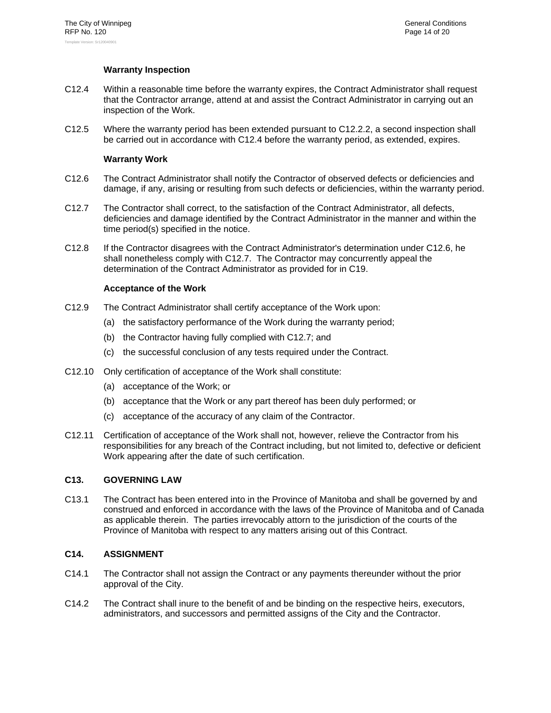## **Warranty Inspection**

- C12.4 Within a reasonable time before the warranty expires, the Contract Administrator shall request that the Contractor arrange, attend at and assist the Contract Administrator in carrying out an inspection of the Work.
- C12.5 Where the warranty period has been extended pursuant to C12.2.2, a second inspection shall be carried out in accordance with C12.4 before the warranty period, as extended, expires.

## **Warranty Work**

- C12.6 The Contract Administrator shall notify the Contractor of observed defects or deficiencies and damage, if any, arising or resulting from such defects or deficiencies, within the warranty period.
- C12.7 The Contractor shall correct, to the satisfaction of the Contract Administrator, all defects, deficiencies and damage identified by the Contract Administrator in the manner and within the time period(s) specified in the notice.
- C12.8 If the Contractor disagrees with the Contract Administrator's determination under C12.6, he shall nonetheless comply with C12.7. The Contractor may concurrently appeal the determination of the Contract Administrator as provided for in C19.

### **Acceptance of the Work**

- C12.9 The Contract Administrator shall certify acceptance of the Work upon:
	- (a) the satisfactory performance of the Work during the warranty period;
	- (b) the Contractor having fully complied with C12.7; and
	- (c) the successful conclusion of any tests required under the Contract.
- C12.10 Only certification of acceptance of the Work shall constitute:
	- (a) acceptance of the Work; or
	- (b) acceptance that the Work or any part thereof has been duly performed; or
	- (c) acceptance of the accuracy of any claim of the Contractor.
- C12.11 Certification of acceptance of the Work shall not, however, relieve the Contractor from his responsibilities for any breach of the Contract including, but not limited to, defective or deficient Work appearing after the date of such certification.

#### **C13. GOVERNING LAW**

C13.1 The Contract has been entered into in the Province of Manitoba and shall be governed by and construed and enforced in accordance with the laws of the Province of Manitoba and of Canada as applicable therein. The parties irrevocably attorn to the jurisdiction of the courts of the Province of Manitoba with respect to any matters arising out of this Contract.

## **C14. ASSIGNMENT**

- C14.1 The Contractor shall not assign the Contract or any payments thereunder without the prior approval of the City.
- C14.2 The Contract shall inure to the benefit of and be binding on the respective heirs, executors, administrators, and successors and permitted assigns of the City and the Contractor.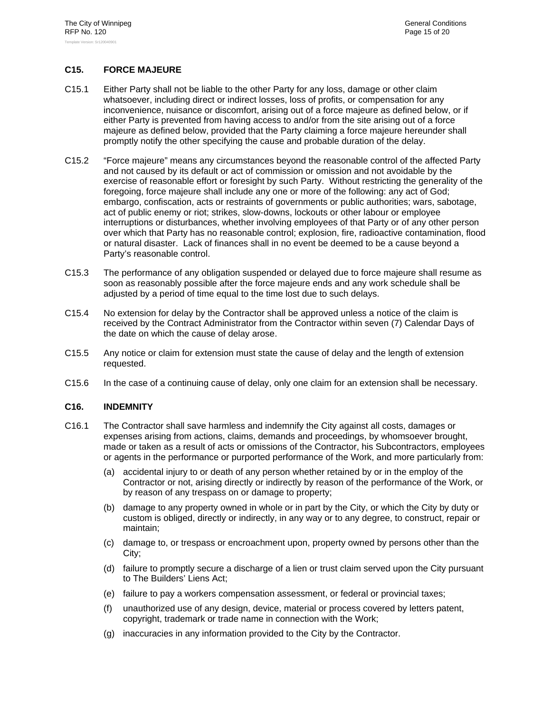## **C15. FORCE MAJEURE**

- C15.1 Either Party shall not be liable to the other Party for any loss, damage or other claim whatsoever, including direct or indirect losses, loss of profits, or compensation for any inconvenience, nuisance or discomfort, arising out of a force majeure as defined below, or if either Party is prevented from having access to and/or from the site arising out of a force majeure as defined below, provided that the Party claiming a force majeure hereunder shall promptly notify the other specifying the cause and probable duration of the delay.
- C15.2 "Force majeure" means any circumstances beyond the reasonable control of the affected Party and not caused by its default or act of commission or omission and not avoidable by the exercise of reasonable effort or foresight by such Party. Without restricting the generality of the foregoing, force majeure shall include any one or more of the following: any act of God; embargo, confiscation, acts or restraints of governments or public authorities; wars, sabotage, act of public enemy or riot; strikes, slow-downs, lockouts or other labour or employee interruptions or disturbances, whether involving employees of that Party or of any other person over which that Party has no reasonable control; explosion, fire, radioactive contamination, flood or natural disaster. Lack of finances shall in no event be deemed to be a cause beyond a Party's reasonable control.
- C15.3 The performance of any obligation suspended or delayed due to force majeure shall resume as soon as reasonably possible after the force majeure ends and any work schedule shall be adjusted by a period of time equal to the time lost due to such delays.
- C15.4 No extension for delay by the Contractor shall be approved unless a notice of the claim is received by the Contract Administrator from the Contractor within seven (7) Calendar Days of the date on which the cause of delay arose.
- C15.5 Any notice or claim for extension must state the cause of delay and the length of extension requested.
- C15.6 In the case of a continuing cause of delay, only one claim for an extension shall be necessary.

#### **C16. INDEMNITY**

- C16.1 The Contractor shall save harmless and indemnify the City against all costs, damages or expenses arising from actions, claims, demands and proceedings, by whomsoever brought, made or taken as a result of acts or omissions of the Contractor, his Subcontractors, employees or agents in the performance or purported performance of the Work, and more particularly from:
	- (a) accidental injury to or death of any person whether retained by or in the employ of the Contractor or not, arising directly or indirectly by reason of the performance of the Work, or by reason of any trespass on or damage to property;
	- (b) damage to any property owned in whole or in part by the City, or which the City by duty or custom is obliged, directly or indirectly, in any way or to any degree, to construct, repair or maintain;
	- (c) damage to, or trespass or encroachment upon, property owned by persons other than the City;
	- (d) failure to promptly secure a discharge of a lien or trust claim served upon the City pursuant to The Builders' Liens Act;
	- (e) failure to pay a workers compensation assessment, or federal or provincial taxes;
	- (f) unauthorized use of any design, device, material or process covered by letters patent, copyright, trademark or trade name in connection with the Work;
	- (g) inaccuracies in any information provided to the City by the Contractor.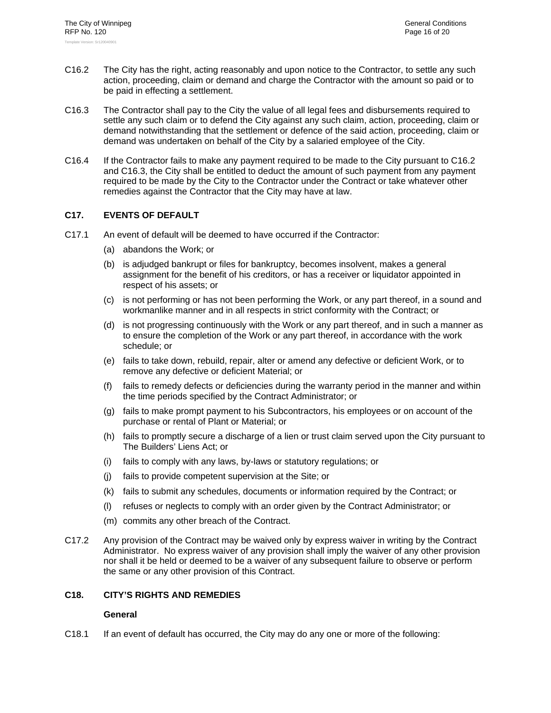- C16.2 The City has the right, acting reasonably and upon notice to the Contractor, to settle any such action, proceeding, claim or demand and charge the Contractor with the amount so paid or to be paid in effecting a settlement.
- C16.3 The Contractor shall pay to the City the value of all legal fees and disbursements required to settle any such claim or to defend the City against any such claim, action, proceeding, claim or demand notwithstanding that the settlement or defence of the said action, proceeding, claim or demand was undertaken on behalf of the City by a salaried employee of the City.
- C16.4 If the Contractor fails to make any payment required to be made to the City pursuant to C16.2 and C16.3, the City shall be entitled to deduct the amount of such payment from any payment required to be made by the City to the Contractor under the Contract or take whatever other remedies against the Contractor that the City may have at law.

### **C17. EVENTS OF DEFAULT**

- C17.1 An event of default will be deemed to have occurred if the Contractor:
	- (a) abandons the Work; or
	- (b) is adjudged bankrupt or files for bankruptcy, becomes insolvent, makes a general assignment for the benefit of his creditors, or has a receiver or liquidator appointed in respect of his assets; or
	- (c) is not performing or has not been performing the Work, or any part thereof, in a sound and workmanlike manner and in all respects in strict conformity with the Contract; or
	- (d) is not progressing continuously with the Work or any part thereof, and in such a manner as to ensure the completion of the Work or any part thereof, in accordance with the work schedule; or
	- (e) fails to take down, rebuild, repair, alter or amend any defective or deficient Work, or to remove any defective or deficient Material; or
	- (f) fails to remedy defects or deficiencies during the warranty period in the manner and within the time periods specified by the Contract Administrator; or
	- (g) fails to make prompt payment to his Subcontractors, his employees or on account of the purchase or rental of Plant or Material; or
	- (h) fails to promptly secure a discharge of a lien or trust claim served upon the City pursuant to The Builders' Liens Act; or
	- (i) fails to comply with any laws, by-laws or statutory regulations; or
	- (j) fails to provide competent supervision at the Site; or
	- (k) fails to submit any schedules, documents or information required by the Contract; or
	- (l) refuses or neglects to comply with an order given by the Contract Administrator; or
	- (m) commits any other breach of the Contract.
- C17.2 Any provision of the Contract may be waived only by express waiver in writing by the Contract Administrator. No express waiver of any provision shall imply the waiver of any other provision nor shall it be held or deemed to be a waiver of any subsequent failure to observe or perform the same or any other provision of this Contract.

## **C18. CITY'S RIGHTS AND REMEDIES**

#### **General**

C18.1 If an event of default has occurred, the City may do any one or more of the following: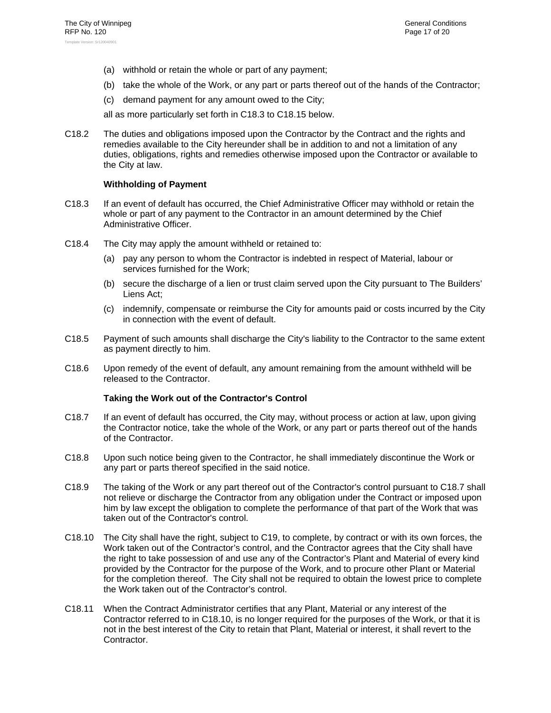- (a) withhold or retain the whole or part of any payment;
- (b) take the whole of the Work, or any part or parts thereof out of the hands of the Contractor;
- (c) demand payment for any amount owed to the City;

all as more particularly set forth in C18.3 to C18.15 below.

C18.2 The duties and obligations imposed upon the Contractor by the Contract and the rights and remedies available to the City hereunder shall be in addition to and not a limitation of any duties, obligations, rights and remedies otherwise imposed upon the Contractor or available to the City at law.

## **Withholding of Payment**

- C18.3 If an event of default has occurred, the Chief Administrative Officer may withhold or retain the whole or part of any payment to the Contractor in an amount determined by the Chief Administrative Officer.
- C18.4 The City may apply the amount withheld or retained to:
	- (a) pay any person to whom the Contractor is indebted in respect of Material, labour or services furnished for the Work;
	- (b) secure the discharge of a lien or trust claim served upon the City pursuant to The Builders' Liens Act;
	- (c) indemnify, compensate or reimburse the City for amounts paid or costs incurred by the City in connection with the event of default.
- C18.5 Payment of such amounts shall discharge the City's liability to the Contractor to the same extent as payment directly to him.
- C18.6 Upon remedy of the event of default, any amount remaining from the amount withheld will be released to the Contractor.

## **Taking the Work out of the Contractor's Control**

- C18.7 If an event of default has occurred, the City may, without process or action at law, upon giving the Contractor notice, take the whole of the Work, or any part or parts thereof out of the hands of the Contractor.
- C18.8 Upon such notice being given to the Contractor, he shall immediately discontinue the Work or any part or parts thereof specified in the said notice.
- C18.9 The taking of the Work or any part thereof out of the Contractor's control pursuant to C18.7 shall not relieve or discharge the Contractor from any obligation under the Contract or imposed upon him by law except the obligation to complete the performance of that part of the Work that was taken out of the Contractor's control.
- C18.10 The City shall have the right, subject to C19, to complete, by contract or with its own forces, the Work taken out of the Contractor's control, and the Contractor agrees that the City shall have the right to take possession of and use any of the Contractor's Plant and Material of every kind provided by the Contractor for the purpose of the Work, and to procure other Plant or Material for the completion thereof. The City shall not be required to obtain the lowest price to complete the Work taken out of the Contractor's control.
- C18.11 When the Contract Administrator certifies that any Plant, Material or any interest of the Contractor referred to in C18.10, is no longer required for the purposes of the Work, or that it is not in the best interest of the City to retain that Plant, Material or interest, it shall revert to the Contractor.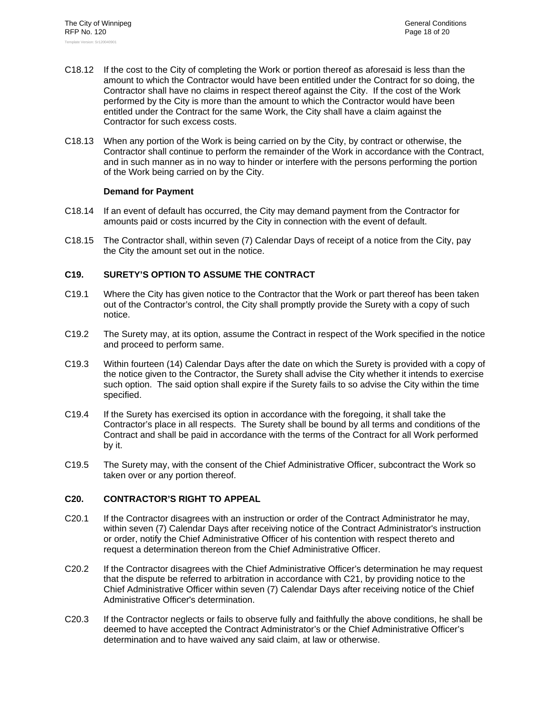- C18.12 If the cost to the City of completing the Work or portion thereof as aforesaid is less than the amount to which the Contractor would have been entitled under the Contract for so doing, the Contractor shall have no claims in respect thereof against the City. If the cost of the Work performed by the City is more than the amount to which the Contractor would have been entitled under the Contract for the same Work, the City shall have a claim against the Contractor for such excess costs.
- C18.13 When any portion of the Work is being carried on by the City, by contract or otherwise, the Contractor shall continue to perform the remainder of the Work in accordance with the Contract, and in such manner as in no way to hinder or interfere with the persons performing the portion of the Work being carried on by the City.

### **Demand for Payment**

- C18.14 If an event of default has occurred, the City may demand payment from the Contractor for amounts paid or costs incurred by the City in connection with the event of default.
- C18.15 The Contractor shall, within seven (7) Calendar Days of receipt of a notice from the City, pay the City the amount set out in the notice.

## **C19. SURETY'S OPTION TO ASSUME THE CONTRACT**

- C19.1 Where the City has given notice to the Contractor that the Work or part thereof has been taken out of the Contractor's control, the City shall promptly provide the Surety with a copy of such notice.
- C19.2 The Surety may, at its option, assume the Contract in respect of the Work specified in the notice and proceed to perform same.
- C19.3 Within fourteen (14) Calendar Days after the date on which the Surety is provided with a copy of the notice given to the Contractor, the Surety shall advise the City whether it intends to exercise such option. The said option shall expire if the Surety fails to so advise the City within the time specified.
- C19.4 If the Surety has exercised its option in accordance with the foregoing, it shall take the Contractor's place in all respects. The Surety shall be bound by all terms and conditions of the Contract and shall be paid in accordance with the terms of the Contract for all Work performed by it.
- C19.5 The Surety may, with the consent of the Chief Administrative Officer, subcontract the Work so taken over or any portion thereof.

#### **C20. CONTRACTOR'S RIGHT TO APPEAL**

- C20.1 If the Contractor disagrees with an instruction or order of the Contract Administrator he may, within seven (7) Calendar Days after receiving notice of the Contract Administrator's instruction or order, notify the Chief Administrative Officer of his contention with respect thereto and request a determination thereon from the Chief Administrative Officer.
- C20.2 If the Contractor disagrees with the Chief Administrative Officer's determination he may request that the dispute be referred to arbitration in accordance with C21, by providing notice to the Chief Administrative Officer within seven (7) Calendar Days after receiving notice of the Chief Administrative Officer's determination.
- C20.3 If the Contractor neglects or fails to observe fully and faithfully the above conditions, he shall be deemed to have accepted the Contract Administrator's or the Chief Administrative Officer's determination and to have waived any said claim, at law or otherwise.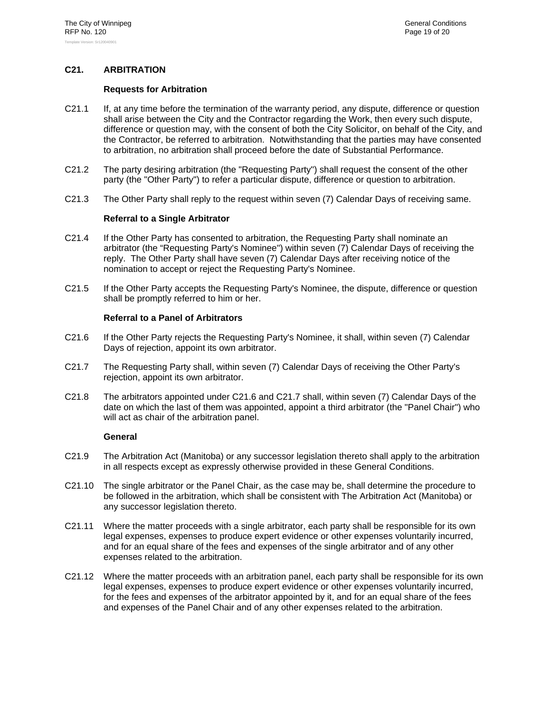## **C21. ARBITRATION**

#### **Requests for Arbitration**

- C21.1 If, at any time before the termination of the warranty period, any dispute, difference or question shall arise between the City and the Contractor regarding the Work, then every such dispute, difference or question may, with the consent of both the City Solicitor, on behalf of the City, and the Contractor, be referred to arbitration. Notwithstanding that the parties may have consented to arbitration, no arbitration shall proceed before the date of Substantial Performance.
- C21.2 The party desiring arbitration (the "Requesting Party") shall request the consent of the other party (the "Other Party") to refer a particular dispute, difference or question to arbitration.
- C21.3 The Other Party shall reply to the request within seven (7) Calendar Days of receiving same.

#### **Referral to a Single Arbitrator**

- C21.4 If the Other Party has consented to arbitration, the Requesting Party shall nominate an arbitrator (the "Requesting Party's Nominee") within seven (7) Calendar Days of receiving the reply. The Other Party shall have seven (7) Calendar Days after receiving notice of the nomination to accept or reject the Requesting Party's Nominee.
- C21.5 If the Other Party accepts the Requesting Party's Nominee, the dispute, difference or question shall be promptly referred to him or her.

#### **Referral to a Panel of Arbitrators**

- C21.6 If the Other Party rejects the Requesting Party's Nominee, it shall, within seven (7) Calendar Days of rejection, appoint its own arbitrator.
- C21.7 The Requesting Party shall, within seven (7) Calendar Days of receiving the Other Party's rejection, appoint its own arbitrator.
- C21.8 The arbitrators appointed under C21.6 and C21.7 shall, within seven (7) Calendar Days of the date on which the last of them was appointed, appoint a third arbitrator (the "Panel Chair") who will act as chair of the arbitration panel.

- C21.9 The Arbitration Act (Manitoba) or any successor legislation thereto shall apply to the arbitration in all respects except as expressly otherwise provided in these General Conditions.
- C21.10 The single arbitrator or the Panel Chair, as the case may be, shall determine the procedure to be followed in the arbitration, which shall be consistent with The Arbitration Act (Manitoba) or any successor legislation thereto.
- C21.11 Where the matter proceeds with a single arbitrator, each party shall be responsible for its own legal expenses, expenses to produce expert evidence or other expenses voluntarily incurred, and for an equal share of the fees and expenses of the single arbitrator and of any other expenses related to the arbitration.
- C21.12 Where the matter proceeds with an arbitration panel, each party shall be responsible for its own legal expenses, expenses to produce expert evidence or other expenses voluntarily incurred, for the fees and expenses of the arbitrator appointed by it, and for an equal share of the fees and expenses of the Panel Chair and of any other expenses related to the arbitration.